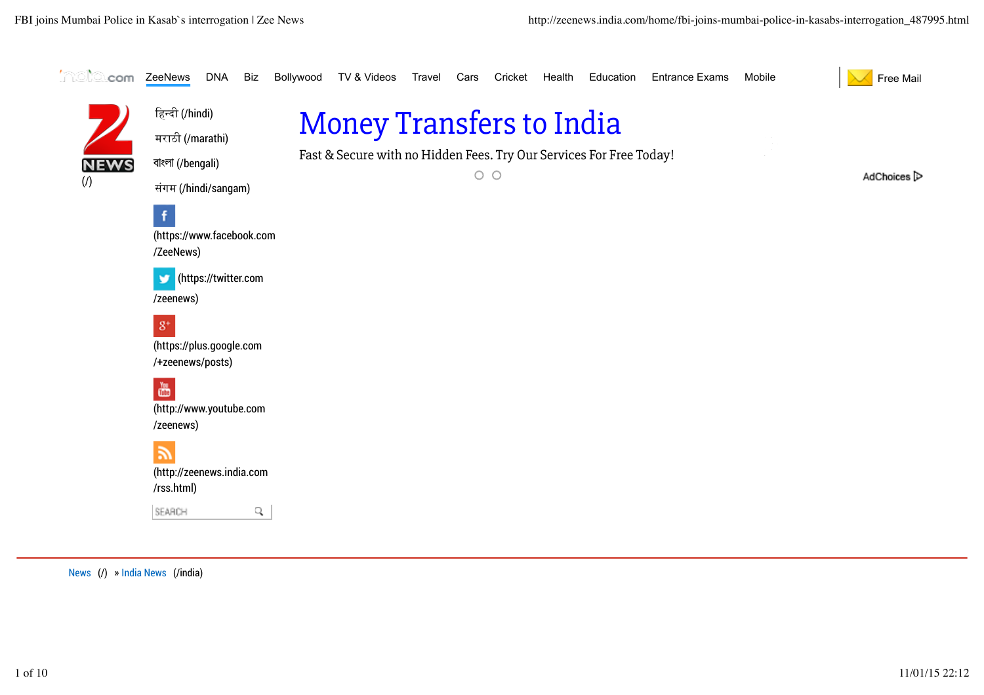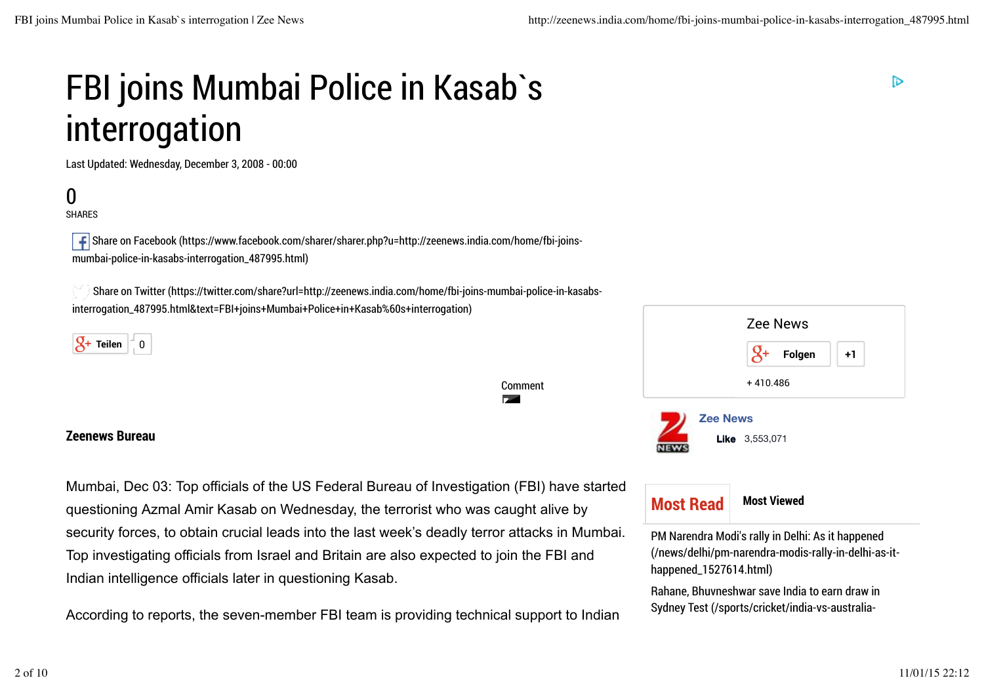# FBI joins Mumbai Police in Kasab`s interrogation

Last Updated: Wednesday, December 3, 2008 - 00:00

## 0

SHARES

 Share on Facebook (https://www.facebook.com/sharer/sharer.php?u=http://zeenews.india.com/home/fbi-joinsmumbai-police-in-kasabs-interrogation\_487995.html)

 Share on Twitter (https://twitter.com/share?url=http://zeenews.india.com/home/fbi-joins-mumbai-police-in-kasabsinterrogation\_487995.html&text=FBI+joins+Mumbai+Police+in+Kasab%60s+interrogation)



#### **Zeenews Bureau**

Mumbai, Dec 03: Top officials of the US Federal Bureau of Investigation (FBI) have started questioning Azmal Amir Kasab on Wednesday, the terrorist who was caught alive by security forces, to obtain crucial leads into the last week's deadly terror attacks in Mumbai. Top investigating officials from Israel and Britain are also expected to join the FBI and Indian intelligence officials later in questioning Kasab.

Comment

**Page** 

According to reports, the seven-member FBI team is providing technical support to Indian





PM Narendra Modi's rally in Delhi: As it happened (/news/delhi/pm-narendra-modis-rally-in-delhi-as-ithappened\_1527614.html)

Rahane, Bhuvneshwar save India to earn draw in Sydney Test (/sports/cricket/india-vs-australiaচ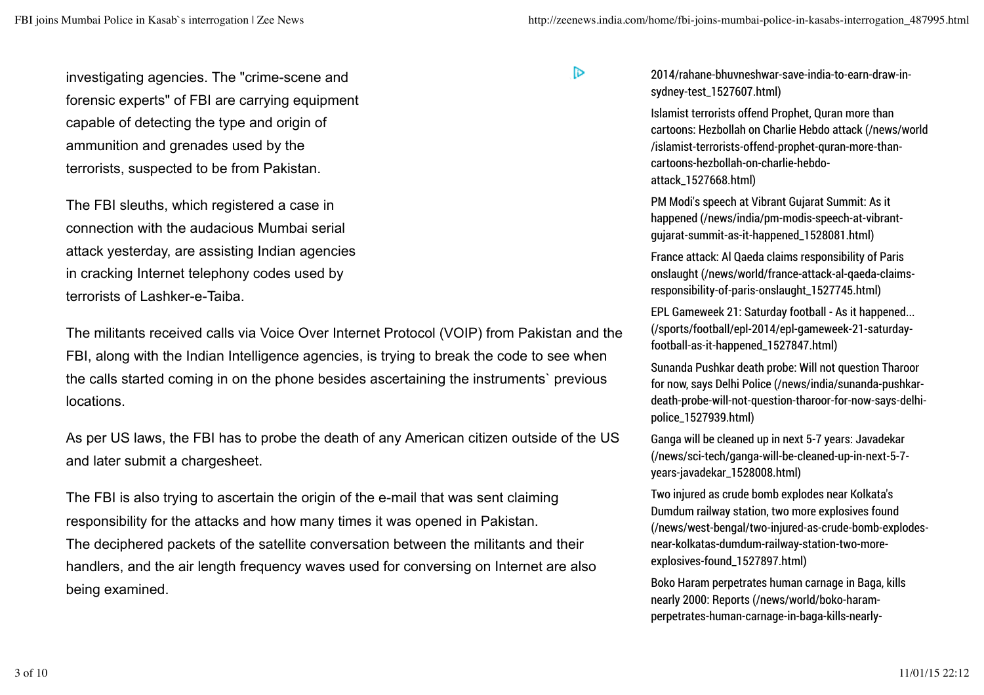$\triangleright$ 

investigating agencies. The "crime-scene and forensic experts" of FBI are carrying equipment capable of detecting the type and origin of ammunition and grenades used by the terrorists, suspected to be from Pakistan.

The FBI sleuths, which registered a case in connection with the audacious Mumbai serial attack yesterday, are assisting Indian agencies in cracking Internet telephony codes used by terrorists of Lashker-e-Taiba.

The militants received calls via Voice Over Internet Protocol (VOIP) from Pakistan and the FBI, along with the Indian Intelligence agencies, is trying to break the code to see when the calls started coming in on the phone besides ascertaining the instruments` previous locations.

As per US laws, the FBI has to probe the death of any American citizen outside of the US and later submit a chargesheet.

The FBI is also trying to ascertain the origin of the e-mail that was sent claiming responsibility for the attacks and how many times it was opened in Pakistan. The deciphered packets of the satellite conversation between the militants and their handlers, and the air length frequency waves used for conversing on Internet are also being examined.

#### 2014/rahane-bhuvneshwar-save-india-to-earn-draw-insydney-test\_1527607.html)

Islamist terrorists offend Prophet, Quran more than cartoons: Hezbollah on Charlie Hebdo attack (/news/world /islamist-terrorists-offend-prophet-quran-more-thancartoons-hezbollah-on-charlie-hebdoattack\_1527668.html)

PM Modi's speech at Vibrant Gujarat Summit: As it happened (/news/india/pm-modis-speech-at-vibrantgujarat-summit-as-it-happened\_1528081.html)

France attack: Al Qaeda claims responsibility of Paris onslaught (/news/world/france-attack-al-qaeda-claimsresponsibility-of-paris-onslaught\_1527745.html)

EPL Gameweek 21: Saturday football - As it happened... (/sports/football/epl-2014/epl-gameweek-21-saturdayfootball-as-it-happened\_1527847.html)

Sunanda Pushkar death probe: Will not question Tharoor for now, says Delhi Police (/news/india/sunanda-pushkardeath-probe-will-not-question-tharoor-for-now-says-delhipolice\_1527939.html)

Ganga will be cleaned up in next 5-7 years: Javadekar (/news/sci-tech/ganga-will-be-cleaned-up-in-next-5-7 years-javadekar\_1528008.html)

Two injured as crude bomb explodes near Kolkata's Dumdum railway station, two more explosives found (/news/west-bengal/two-injured-as-crude-bomb-explodesnear-kolkatas-dumdum-railway-station-two-moreexplosives-found\_1527897.html)

Boko Haram perpetrates human carnage in Baga, kills nearly 2000: Reports (/news/world/boko-haramperpetrates-human-carnage-in-baga-kills-nearly